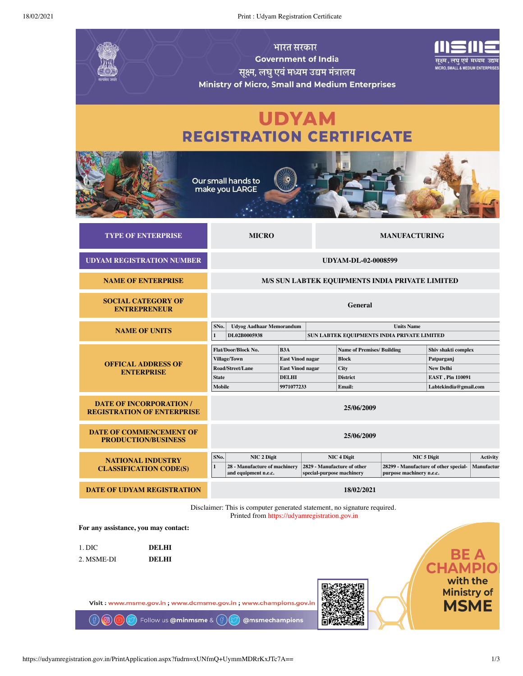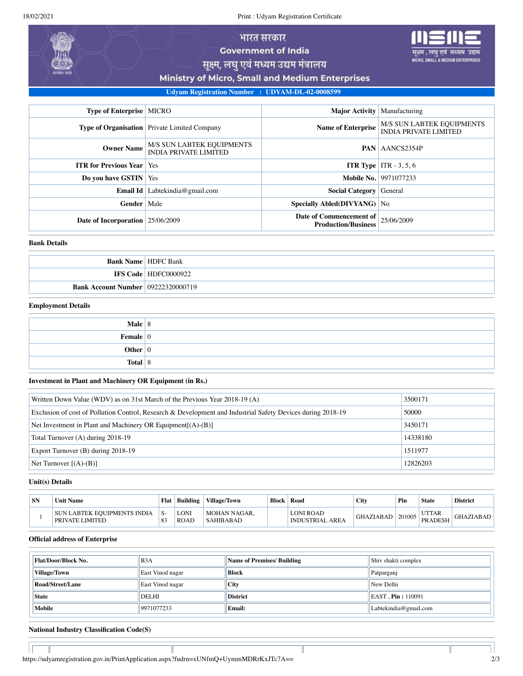18/02/2021 Print : Udyam Registration Certificate



MICRO, SMALL & MEDIUM ENTERPRISES

सूक्ष्म, लघु एवं मध्यम उद्यम मंत्रालय

Ministry of Micro, Small and Medium Enterprises

**Udyam Registration Number : UDYAM-DL-02-0008599**

| <b>Type of Enterprise   MICRO</b>  |                                                           | <b>Major Activity</b>                                               | Manufacturing                                                    |
|------------------------------------|-----------------------------------------------------------|---------------------------------------------------------------------|------------------------------------------------------------------|
|                                    | <b>Type of Organisation</b> Private Limited Company       | <b>Name of Enterprise</b>                                           | <b>M/S SUN LABTEK EQUIPMENTS</b><br><b>INDIA PRIVATE LIMITED</b> |
| <b>Owner Name</b>                  | M/S SUN LABTEK EQUIPMENTS<br><b>INDIA PRIVATE LIMITED</b> |                                                                     | <b>PAN</b> AANCS2354P                                            |
| <b>ITR for Previous Year</b> Yes   |                                                           |                                                                     | <b>ITR Type</b> ITR $-3, 5, 6$                                   |
| Do you have GSTIN Yes              |                                                           |                                                                     | <b>Mobile No.</b> 9971077233                                     |
|                                    | <b>Email Id</b> Labtekindia@gmail.com                     | <b>Social Category</b> General                                      |                                                                  |
| Gender                             | Male                                                      | Specially Abled(DIVYANG)   No                                       |                                                                  |
| Date of Incorporation   25/06/2009 |                                                           | Date of Commencement of $ 25/06/2009$<br><b>Production/Business</b> |                                                                  |

#### **Bank Details**

|                                           | <b>Bank Name   HDFC Bank</b>  |
|-------------------------------------------|-------------------------------|
|                                           | <b>IFS Code   HDFC0000922</b> |
| <b>Bank Account Number 09222320000719</b> |                               |

### **Employment Details**

| Male $ 8 $             |  |
|------------------------|--|
| Female $\vert 0 \vert$ |  |
| Other $ 0 $            |  |
| Total $ 8 $            |  |

## **Investment in Plant and Machinery OR Equipment (in Rs.)**

| Written Down Value (WDV) as on 31st March of the Previous Year 2018-19 (A)                                  | 3500171  |
|-------------------------------------------------------------------------------------------------------------|----------|
| Exclusion of cost of Pollution Control, Research & Development and Industrial Safety Devices during 2018-19 | 50000    |
| Net Investment in Plant and Machinery OR Equipment $[(A)-(B)]$                                              | 3450171  |
| Total Turnover (A) during 2018-19                                                                           | 14338180 |
| Export Turnover (B) during 2018-19                                                                          | 1511977  |
| Net Turnover $[(A)-(B)]$                                                                                    | 12826203 |

#### **Unit(s) Details**

Ιſ

| <b>SN</b> | <b>Unit Name</b>                                      | Flat                | Building            | <b>Village/Town</b>              | <b>Block</b> | Road                                | <b>City</b>      | Pin    | <b>State</b>                   | <b>District</b> |
|-----------|-------------------------------------------------------|---------------------|---------------------|----------------------------------|--------------|-------------------------------------|------------------|--------|--------------------------------|-----------------|
|           | <b>SUN LABTEK EOUIPMENTS INDIA</b><br>PRIVATE LIMITED | O.<br>$\circ$<br>o. | LONI<br><b>ROAD</b> | MOHAN NAGAR.<br><b>SAHIBABAD</b> |              | LONI ROAD<br><b>INDUSTRIAL AREA</b> | <b>GHAZIABAD</b> | 201005 | <b>UTTAR</b><br><b>PRADESH</b> | GHAZIABAD       |

# **Official address of Enterprise**

| <b>Flat/Door/Block No.</b> | B <sub>3</sub> A | Name of Premises/ Building | Shiv shakti complex           |  |
|----------------------------|------------------|----------------------------|-------------------------------|--|
| <b>Village/Town</b>        | East Vinod nagar | <b>Block</b>               | Patparganj                    |  |
| Road/Street/Lane           | East Vinod nagar | <b>City</b>                | New Delhi                     |  |
| <b>State</b>               | DELHI            | <b>District</b>            | $\parallel$ EAST, Pin: 110091 |  |
| <b>Mobile</b>              | 9971077233       | <b>Email:</b>              | Labtekindia@gmail.com         |  |

 $\mathbb{I}$ 

# **National Industry Classification Code(S)**